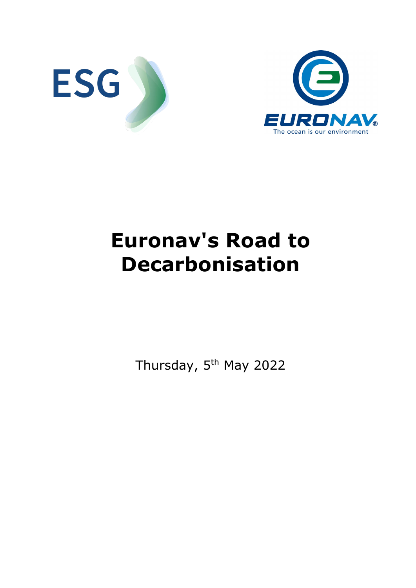



# **Euronav's Road to Decarbonisation**

Thursday, 5<sup>th</sup> May 2022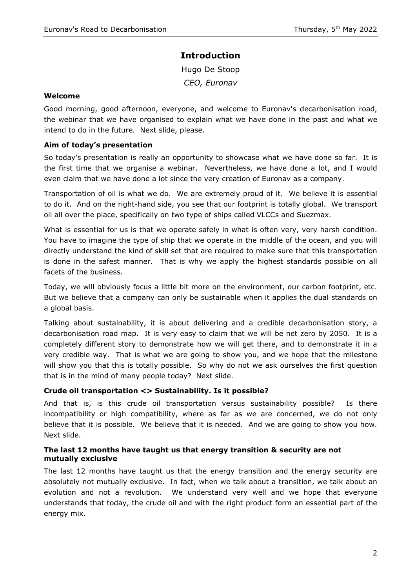# **Introduction**

Hugo De Stoop *CEO, Euronav*

#### **Welcome**

Good morning, good afternoon, everyone, and welcome to Euronav's decarbonisation road, the webinar that we have organised to explain what we have done in the past and what we intend to do in the future. Next slide, please.

#### **Aim of today's presentation**

So today's presentation is really an opportunity to showcase what we have done so far. It is the first time that we organise a webinar. Nevertheless, we have done a lot, and I would even claim that we have done a lot since the very creation of Euronav as a company.

Transportation of oil is what we do. We are extremely proud of it. We believe it is essential to do it. And on the right-hand side, you see that our footprint is totally global. We transport oil all over the place, specifically on two type of ships called VLCCs and Suezmax.

What is essential for us is that we operate safely in what is often very, very harsh condition. You have to imagine the type of ship that we operate in the middle of the ocean, and you will directly understand the kind of skill set that are required to make sure that this transportation is done in the safest manner. That is why we apply the highest standards possible on all facets of the business.

Today, we will obviously focus a little bit more on the environment, our carbon footprint, etc. But we believe that a company can only be sustainable when it applies the dual standards on a global basis.

Talking about sustainability, it is about delivering and a credible decarbonisation story, a decarbonisation road map. It is very easy to claim that we will be net zero by 2050. It is a completely different story to demonstrate how we will get there, and to demonstrate it in a very credible way. That is what we are going to show you, and we hope that the milestone will show you that this is totally possible. So why do not we ask ourselves the first question that is in the mind of many people today? Next slide.

#### **Crude oil transportation <> Sustainability. Is it possible?**

And that is, is this crude oil transportation versus sustainability possible? Is there incompatibility or high compatibility, where as far as we are concerned, we do not only believe that it is possible. We believe that it is needed. And we are going to show you how. Next slide.

#### **The last 12 months have taught us that energy transition & security are not mutually exclusive**

The last 12 months have taught us that the energy transition and the energy security are absolutely not mutually exclusive. In fact, when we talk about a transition, we talk about an evolution and not a revolution. We understand very well and we hope that everyone understands that today, the crude oil and with the right product form an essential part of the energy mix.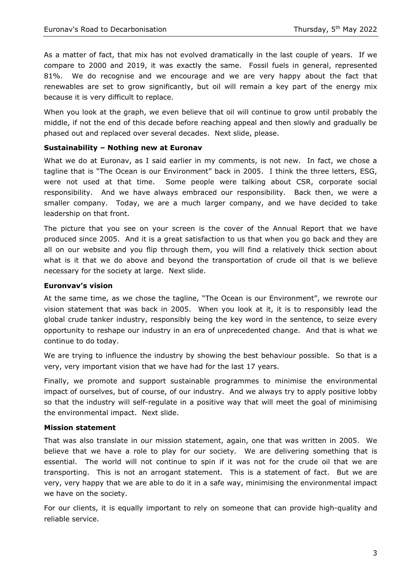As a matter of fact, that mix has not evolved dramatically in the last couple of years. If we compare to 2000 and 2019, it was exactly the same. Fossil fuels in general, represented 81%. We do recognise and we encourage and we are very happy about the fact that renewables are set to grow significantly, but oil will remain a key part of the energy mix because it is very difficult to replace.

When you look at the graph, we even believe that oil will continue to grow until probably the middle, if not the end of this decade before reaching appeal and then slowly and gradually be phased out and replaced over several decades. Next slide, please.

#### **Sustainability – Nothing new at Euronav**

What we do at Euronav, as I said earlier in my comments, is not new. In fact, we chose a tagline that is "The Ocean is our Environment" back in 2005. I think the three letters, ESG, were not used at that time. Some people were talking about CSR, corporate social responsibility. And we have always embraced our responsibility. Back then, we were a smaller company. Today, we are a much larger company, and we have decided to take leadership on that front.

The picture that you see on your screen is the cover of the Annual Report that we have produced since 2005. And it is a great satisfaction to us that when you go back and they are all on our website and you flip through them, you will find a relatively thick section about what is it that we do above and beyond the transportation of crude oil that is we believe necessary for the society at large. Next slide.

#### **Euronvav's vision**

At the same time, as we chose the tagline, "The Ocean is our Environment", we rewrote our vision statement that was back in 2005. When you look at it, it is to responsibly lead the global crude tanker industry, responsibly being the key word in the sentence, to seize every opportunity to reshape our industry in an era of unprecedented change. And that is what we continue to do today.

We are trying to influence the industry by showing the best behaviour possible. So that is a very, very important vision that we have had for the last 17 years.

Finally, we promote and support sustainable programmes to minimise the environmental impact of ourselves, but of course, of our industry. And we always try to apply positive lobby so that the industry will self-regulate in a positive way that will meet the goal of minimising the environmental impact. Next slide.

#### **Mission statement**

That was also translate in our mission statement, again, one that was written in 2005. We believe that we have a role to play for our society. We are delivering something that is essential. The world will not continue to spin if it was not for the crude oil that we are transporting. This is not an arrogant statement. This is a statement of fact. But we are very, very happy that we are able to do it in a safe way, minimising the environmental impact we have on the society.

For our clients, it is equally important to rely on someone that can provide high-quality and reliable service.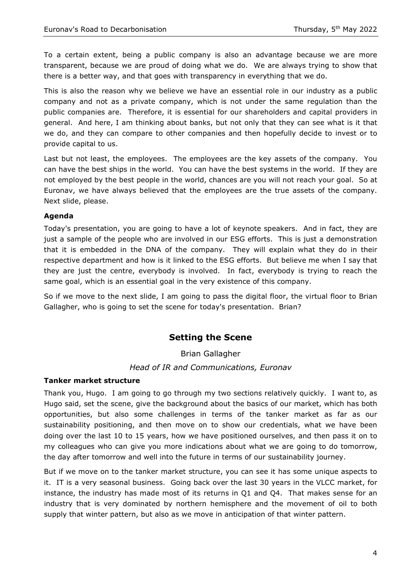To a certain extent, being a public company is also an advantage because we are more transparent, because we are proud of doing what we do. We are always trying to show that there is a better way, and that goes with transparency in everything that we do.

This is also the reason why we believe we have an essential role in our industry as a public company and not as a private company, which is not under the same regulation than the public companies are. Therefore, it is essential for our shareholders and capital providers in general. And here, I am thinking about banks, but not only that they can see what is it that we do, and they can compare to other companies and then hopefully decide to invest or to provide capital to us.

Last but not least, the employees. The employees are the key assets of the company. You can have the best ships in the world. You can have the best systems in the world. If they are not employed by the best people in the world, chances are you will not reach your goal. So at Euronav, we have always believed that the employees are the true assets of the company. Next slide, please.

# **Agenda**

Today's presentation, you are going to have a lot of keynote speakers. And in fact, they are just a sample of the people who are involved in our ESG efforts. This is just a demonstration that it is embedded in the DNA of the company. They will explain what they do in their respective department and how is it linked to the ESG efforts. But believe me when I say that they are just the centre, everybody is involved. In fact, everybody is trying to reach the same goal, which is an essential goal in the very existence of this company.

So if we move to the next slide, I am going to pass the digital floor, the virtual floor to Brian Gallagher, who is going to set the scene for today's presentation. Brian?

# **Setting the Scene**

# Brian Gallagher

# *Head of IR and Communications, Euronav*

# **Tanker market structure**

Thank you, Hugo. I am going to go through my two sections relatively quickly. I want to, as Hugo said, set the scene, give the background about the basics of our market, which has both opportunities, but also some challenges in terms of the tanker market as far as our sustainability positioning, and then move on to show our credentials, what we have been doing over the last 10 to 15 years, how we have positioned ourselves, and then pass it on to my colleagues who can give you more indications about what we are going to do tomorrow, the day after tomorrow and well into the future in terms of our sustainability journey.

But if we move on to the tanker market structure, you can see it has some unique aspects to it. IT is a very seasonal business. Going back over the last 30 years in the VLCC market, for instance, the industry has made most of its returns in Q1 and Q4. That makes sense for an industry that is very dominated by northern hemisphere and the movement of oil to both supply that winter pattern, but also as we move in anticipation of that winter pattern.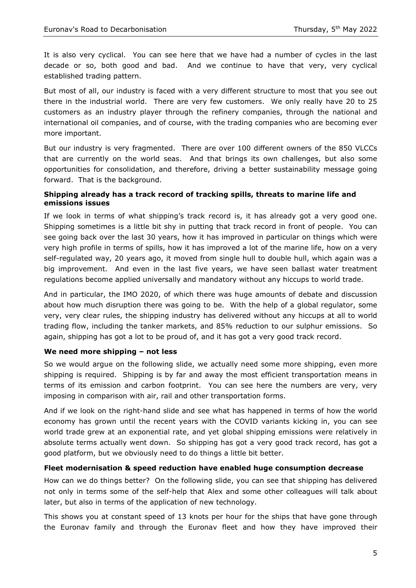It is also very cyclical. You can see here that we have had a number of cycles in the last decade or so, both good and bad. And we continue to have that very, very cyclical established trading pattern.

But most of all, our industry is faced with a very different structure to most that you see out there in the industrial world. There are very few customers. We only really have 20 to 25 customers as an industry player through the refinery companies, through the national and international oil companies, and of course, with the trading companies who are becoming ever more important.

But our industry is very fragmented. There are over 100 different owners of the 850 VLCCs that are currently on the world seas. And that brings its own challenges, but also some opportunities for consolidation, and therefore, driving a better sustainability message going forward. That is the background.

# **Shipping already has a track record of tracking spills, threats to marine life and emissions issues**

If we look in terms of what shipping's track record is, it has already got a very good one. Shipping sometimes is a little bit shy in putting that track record in front of people. You can see going back over the last 30 years, how it has improved in particular on things which were very high profile in terms of spills, how it has improved a lot of the marine life, how on a very self-regulated way, 20 years ago, it moved from single hull to double hull, which again was a big improvement. And even in the last five years, we have seen ballast water treatment regulations become applied universally and mandatory without any hiccups to world trade.

And in particular, the IMO 2020, of which there was huge amounts of debate and discussion about how much disruption there was going to be. With the help of a global regulator, some very, very clear rules, the shipping industry has delivered without any hiccups at all to world trading flow, including the tanker markets, and 85% reduction to our sulphur emissions. So again, shipping has got a lot to be proud of, and it has got a very good track record.

# **We need more shipping – not less**

So we would argue on the following slide, we actually need some more shipping, even more shipping is required. Shipping is by far and away the most efficient transportation means in terms of its emission and carbon footprint. You can see here the numbers are very, very imposing in comparison with air, rail and other transportation forms.

And if we look on the right-hand slide and see what has happened in terms of how the world economy has grown until the recent years with the COVID variants kicking in, you can see world trade grew at an exponential rate, and yet global shipping emissions were relatively in absolute terms actually went down. So shipping has got a very good track record, has got a good platform, but we obviously need to do things a little bit better.

#### **Fleet modernisation & speed reduction have enabled huge consumption decrease**

How can we do things better? On the following slide, you can see that shipping has delivered not only in terms some of the self-help that Alex and some other colleagues will talk about later, but also in terms of the application of new technology.

This shows you at constant speed of 13 knots per hour for the ships that have gone through the Euronav family and through the Euronav fleet and how they have improved their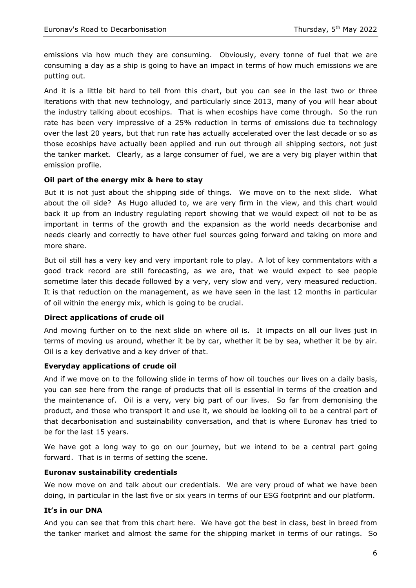emissions via how much they are consuming. Obviously, every tonne of fuel that we are consuming a day as a ship is going to have an impact in terms of how much emissions we are putting out.

And it is a little bit hard to tell from this chart, but you can see in the last two or three iterations with that new technology, and particularly since 2013, many of you will hear about the industry talking about ecoships. That is when ecoships have come through. So the run rate has been very impressive of a 25% reduction in terms of emissions due to technology over the last 20 years, but that run rate has actually accelerated over the last decade or so as those ecoships have actually been applied and run out through all shipping sectors, not just the tanker market. Clearly, as a large consumer of fuel, we are a very big player within that emission profile.

#### **Oil part of the energy mix & here to stay**

But it is not just about the shipping side of things. We move on to the next slide. What about the oil side? As Hugo alluded to, we are very firm in the view, and this chart would back it up from an industry regulating report showing that we would expect oil not to be as important in terms of the growth and the expansion as the world needs decarbonise and needs clearly and correctly to have other fuel sources going forward and taking on more and more share.

But oil still has a very key and very important role to play. A lot of key commentators with a good track record are still forecasting, as we are, that we would expect to see people sometime later this decade followed by a very, very slow and very, very measured reduction. It is that reduction on the management, as we have seen in the last 12 months in particular of oil within the energy mix, which is going to be crucial.

#### **Direct applications of crude oil**

And moving further on to the next slide on where oil is. It impacts on all our lives just in terms of moving us around, whether it be by car, whether it be by sea, whether it be by air. Oil is a key derivative and a key driver of that.

# **Everyday applications of crude oil**

And if we move on to the following slide in terms of how oil touches our lives on a daily basis, you can see here from the range of products that oil is essential in terms of the creation and the maintenance of. Oil is a very, very big part of our lives. So far from demonising the product, and those who transport it and use it, we should be looking oil to be a central part of that decarbonisation and sustainability conversation, and that is where Euronav has tried to be for the last 15 years.

We have got a long way to go on our journey, but we intend to be a central part going forward. That is in terms of setting the scene.

#### **Euronav sustainability credentials**

We now move on and talk about our credentials. We are very proud of what we have been doing, in particular in the last five or six years in terms of our ESG footprint and our platform.

# **It's in our DNA**

And you can see that from this chart here. We have got the best in class, best in breed from the tanker market and almost the same for the shipping market in terms of our ratings. So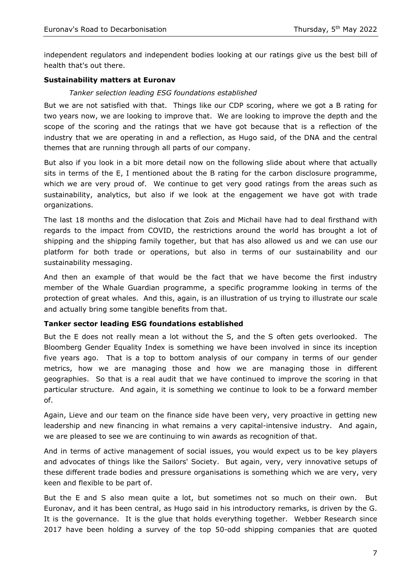independent regulators and independent bodies looking at our ratings give us the best bill of health that's out there.

# **Sustainability matters at Euronav**

# *Tanker selection leading ESG foundations established*

But we are not satisfied with that. Things like our CDP scoring, where we got a B rating for two years now, we are looking to improve that. We are looking to improve the depth and the scope of the scoring and the ratings that we have got because that is a reflection of the industry that we are operating in and a reflection, as Hugo said, of the DNA and the central themes that are running through all parts of our company.

But also if you look in a bit more detail now on the following slide about where that actually sits in terms of the E, I mentioned about the B rating for the carbon disclosure programme, which we are very proud of. We continue to get very good ratings from the areas such as sustainability, analytics, but also if we look at the engagement we have got with trade organizations.

The last 18 months and the dislocation that Zois and Michail have had to deal firsthand with regards to the impact from COVID, the restrictions around the world has brought a lot of shipping and the shipping family together, but that has also allowed us and we can use our platform for both trade or operations, but also in terms of our sustainability and our sustainability messaging.

And then an example of that would be the fact that we have become the first industry member of the Whale Guardian programme, a specific programme looking in terms of the protection of great whales. And this, again, is an illustration of us trying to illustrate our scale and actually bring some tangible benefits from that.

# **Tanker sector leading ESG foundations established**

But the E does not really mean a lot without the S, and the S often gets overlooked. The Bloomberg Gender Equality Index is something we have been involved in since its inception five years ago. That is a top to bottom analysis of our company in terms of our gender metrics, how we are managing those and how we are managing those in different geographies. So that is a real audit that we have continued to improve the scoring in that particular structure. And again, it is something we continue to look to be a forward member of.

Again, Lieve and our team on the finance side have been very, very proactive in getting new leadership and new financing in what remains a very capital-intensive industry. And again, we are pleased to see we are continuing to win awards as recognition of that.

And in terms of active management of social issues, you would expect us to be key players and advocates of things like the Sailors' Society. But again, very, very innovative setups of these different trade bodies and pressure organisations is something which we are very, very keen and flexible to be part of.

But the E and S also mean quite a lot, but sometimes not so much on their own. But Euronav, and it has been central, as Hugo said in his introductory remarks, is driven by the G. It is the governance. It is the glue that holds everything together. Webber Research since 2017 have been holding a survey of the top 50-odd shipping companies that are quoted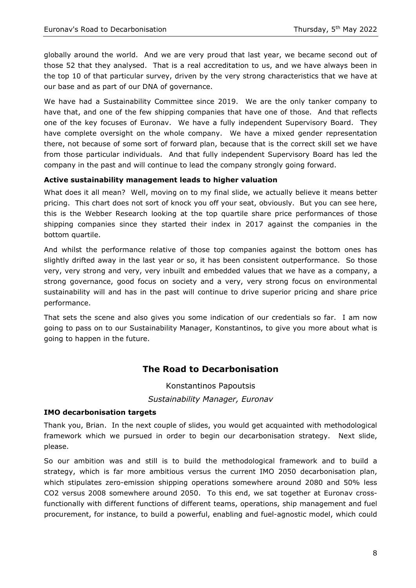globally around the world. And we are very proud that last year, we became second out of those 52 that they analysed. That is a real accreditation to us, and we have always been in the top 10 of that particular survey, driven by the very strong characteristics that we have at our base and as part of our DNA of governance.

We have had a Sustainability Committee since 2019. We are the only tanker company to have that, and one of the few shipping companies that have one of those. And that reflects one of the key focuses of Euronav. We have a fully independent Supervisory Board. They have complete oversight on the whole company. We have a mixed gender representation there, not because of some sort of forward plan, because that is the correct skill set we have from those particular individuals. And that fully independent Supervisory Board has led the company in the past and will continue to lead the company strongly going forward.

# **Active sustainability management leads to higher valuation**

What does it all mean? Well, moving on to my final slide, we actually believe it means better pricing. This chart does not sort of knock you off your seat, obviously. But you can see here, this is the Webber Research looking at the top quartile share price performances of those shipping companies since they started their index in 2017 against the companies in the bottom quartile.

And whilst the performance relative of those top companies against the bottom ones has slightly drifted away in the last year or so, it has been consistent outperformance. So those very, very strong and very, very inbuilt and embedded values that we have as a company, a strong governance, good focus on society and a very, very strong focus on environmental sustainability will and has in the past will continue to drive superior pricing and share price performance.

That sets the scene and also gives you some indication of our credentials so far. I am now going to pass on to our Sustainability Manager, Konstantinos, to give you more about what is going to happen in the future.

# **The Road to Decarbonisation**

Konstantinos Papoutsis *Sustainability Manager, Euronav*

# **IMO decarbonisation targets**

Thank you, Brian. In the next couple of slides, you would get acquainted with methodological framework which we pursued in order to begin our decarbonisation strategy. Next slide, please.

So our ambition was and still is to build the methodological framework and to build a strategy, which is far more ambitious versus the current IMO 2050 decarbonisation plan, which stipulates zero-emission shipping operations somewhere around 2080 and 50% less CO2 versus 2008 somewhere around 2050. To this end, we sat together at Euronav crossfunctionally with different functions of different teams, operations, ship management and fuel procurement, for instance, to build a powerful, enabling and fuel-agnostic model, which could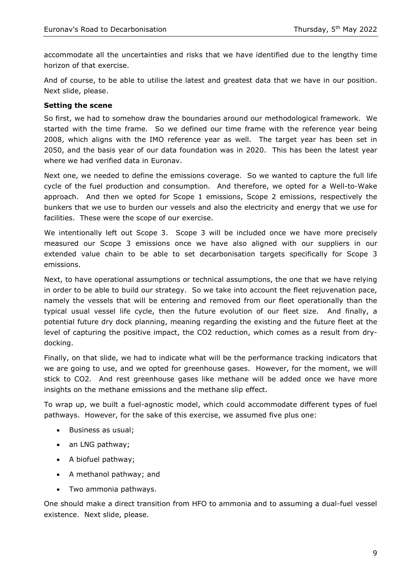accommodate all the uncertainties and risks that we have identified due to the lengthy time horizon of that exercise.

And of course, to be able to utilise the latest and greatest data that we have in our position. Next slide, please.

# **Setting the scene**

So first, we had to somehow draw the boundaries around our methodological framework. We started with the time frame. So we defined our time frame with the reference year being 2008, which aligns with the IMO reference year as well. The target year has been set in 2050, and the basis year of our data foundation was in 2020. This has been the latest year where we had verified data in Euronav.

Next one, we needed to define the emissions coverage. So we wanted to capture the full life cycle of the fuel production and consumption. And therefore, we opted for a Well-to-Wake approach. And then we opted for Scope 1 emissions, Scope 2 emissions, respectively the bunkers that we use to burden our vessels and also the electricity and energy that we use for facilities. These were the scope of our exercise.

We intentionally left out Scope 3. Scope 3 will be included once we have more precisely measured our Scope 3 emissions once we have also aligned with our suppliers in our extended value chain to be able to set decarbonisation targets specifically for Scope 3 emissions.

Next, to have operational assumptions or technical assumptions, the one that we have relying in order to be able to build our strategy. So we take into account the fleet rejuvenation pace, namely the vessels that will be entering and removed from our fleet operationally than the typical usual vessel life cycle, then the future evolution of our fleet size. And finally, a potential future dry dock planning, meaning regarding the existing and the future fleet at the level of capturing the positive impact, the CO2 reduction, which comes as a result from drydocking.

Finally, on that slide, we had to indicate what will be the performance tracking indicators that we are going to use, and we opted for greenhouse gases. However, for the moment, we will stick to CO2. And rest greenhouse gases like methane will be added once we have more insights on the methane emissions and the methane slip effect.

To wrap up, we built a fuel-agnostic model, which could accommodate different types of fuel pathways. However, for the sake of this exercise, we assumed five plus one:

- Business as usual;
- an LNG pathway;
- A biofuel pathway;
- A methanol pathway; and
- Two ammonia pathways.

One should make a direct transition from HFO to ammonia and to assuming a dual-fuel vessel existence. Next slide, please.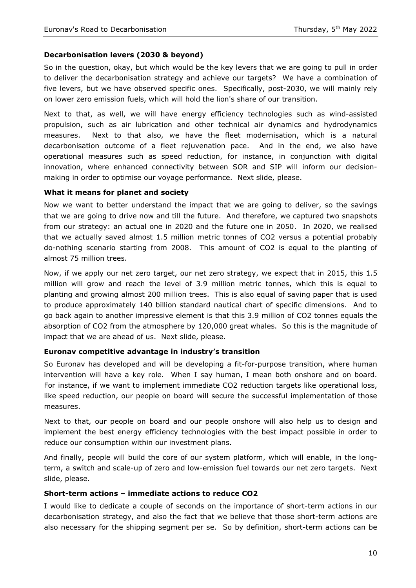# **Decarbonisation levers (2030 & beyond)**

So in the question, okay, but which would be the key levers that we are going to pull in order to deliver the decarbonisation strategy and achieve our targets? We have a combination of five levers, but we have observed specific ones. Specifically, post-2030, we will mainly rely on lower zero emission fuels, which will hold the lion's share of our transition.

Next to that, as well, we will have energy efficiency technologies such as wind-assisted propulsion, such as air lubrication and other technical air dynamics and hydrodynamics measures. Next to that also, we have the fleet modernisation, which is a natural decarbonisation outcome of a fleet rejuvenation pace. And in the end, we also have operational measures such as speed reduction, for instance, in conjunction with digital innovation, where enhanced connectivity between SOR and SIP will inform our decisionmaking in order to optimise our voyage performance. Next slide, please.

# **What it means for planet and society**

Now we want to better understand the impact that we are going to deliver, so the savings that we are going to drive now and till the future. And therefore, we captured two snapshots from our strategy: an actual one in 2020 and the future one in 2050. In 2020, we realised that we actually saved almost 1.5 million metric tonnes of CO2 versus a potential probably do-nothing scenario starting from 2008. This amount of CO2 is equal to the planting of almost 75 million trees.

Now, if we apply our net zero target, our net zero strategy, we expect that in 2015, this 1.5 million will grow and reach the level of 3.9 million metric tonnes, which this is equal to planting and growing almost 200 million trees. This is also equal of saving paper that is used to produce approximately 140 billion standard nautical chart of specific dimensions. And to go back again to another impressive element is that this 3.9 million of CO2 tonnes equals the absorption of CO2 from the atmosphere by 120,000 great whales. So this is the magnitude of impact that we are ahead of us. Next slide, please.

# **Euronav competitive advantage in industry's transition**

So Euronav has developed and will be developing a fit-for-purpose transition, where human intervention will have a key role. When I say human, I mean both onshore and on board. For instance, if we want to implement immediate CO2 reduction targets like operational loss, like speed reduction, our people on board will secure the successful implementation of those measures.

Next to that, our people on board and our people onshore will also help us to design and implement the best energy efficiency technologies with the best impact possible in order to reduce our consumption within our investment plans.

And finally, people will build the core of our system platform, which will enable, in the longterm, a switch and scale-up of zero and low-emission fuel towards our net zero targets. Next slide, please.

# **Short-term actions – immediate actions to reduce CO2**

I would like to dedicate a couple of seconds on the importance of short-term actions in our decarbonisation strategy, and also the fact that we believe that those short-term actions are also necessary for the shipping segment per se. So by definition, short-term actions can be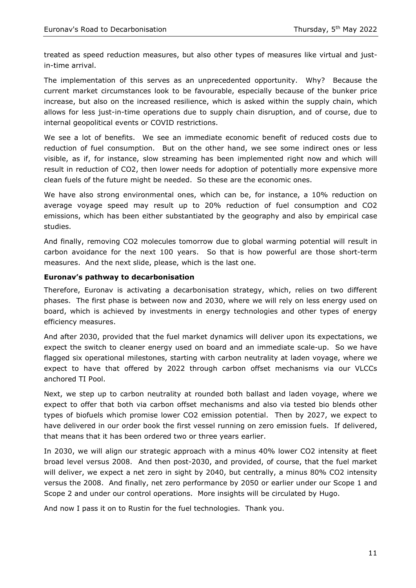treated as speed reduction measures, but also other types of measures like virtual and justin-time arrival.

The implementation of this serves as an unprecedented opportunity. Why? Because the current market circumstances look to be favourable, especially because of the bunker price increase, but also on the increased resilience, which is asked within the supply chain, which allows for less just-in-time operations due to supply chain disruption, and of course, due to internal geopolitical events or COVID restrictions.

We see a lot of benefits. We see an immediate economic benefit of reduced costs due to reduction of fuel consumption. But on the other hand, we see some indirect ones or less visible, as if, for instance, slow streaming has been implemented right now and which will result in reduction of CO2, then lower needs for adoption of potentially more expensive more clean fuels of the future might be needed. So these are the economic ones.

We have also strong environmental ones, which can be, for instance, a 10% reduction on average voyage speed may result up to 20% reduction of fuel consumption and CO2 emissions, which has been either substantiated by the geography and also by empirical case studies.

And finally, removing CO2 molecules tomorrow due to global warming potential will result in carbon avoidance for the next 100 years. So that is how powerful are those short-term measures. And the next slide, please, which is the last one.

#### **Euronav's pathway to decarbonisation**

Therefore, Euronav is activating a decarbonisation strategy, which, relies on two different phases. The first phase is between now and 2030, where we will rely on less energy used on board, which is achieved by investments in energy technologies and other types of energy efficiency measures.

And after 2030, provided that the fuel market dynamics will deliver upon its expectations, we expect the switch to cleaner energy used on board and an immediate scale-up. So we have flagged six operational milestones, starting with carbon neutrality at laden voyage, where we expect to have that offered by 2022 through carbon offset mechanisms via our VLCCs anchored TI Pool.

Next, we step up to carbon neutrality at rounded both ballast and laden voyage, where we expect to offer that both via carbon offset mechanisms and also via tested bio blends other types of biofuels which promise lower CO2 emission potential. Then by 2027, we expect to have delivered in our order book the first vessel running on zero emission fuels. If delivered, that means that it has been ordered two or three years earlier.

In 2030, we will align our strategic approach with a minus 40% lower CO2 intensity at fleet broad level versus 2008. And then post-2030, and provided, of course, that the fuel market will deliver, we expect a net zero in sight by 2040, but centrally, a minus 80% CO2 intensity versus the 2008. And finally, net zero performance by 2050 or earlier under our Scope 1 and Scope 2 and under our control operations. More insights will be circulated by Hugo.

And now I pass it on to Rustin for the fuel technologies. Thank you.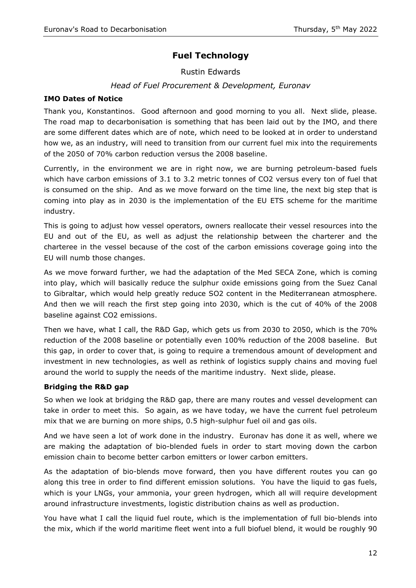# **Fuel Technology**

Rustin Edwards

# *Head of Fuel Procurement & Development, Euronav*

# **IMO Dates of Notice**

Thank you, Konstantinos. Good afternoon and good morning to you all. Next slide, please. The road map to decarbonisation is something that has been laid out by the IMO, and there are some different dates which are of note, which need to be looked at in order to understand how we, as an industry, will need to transition from our current fuel mix into the requirements of the 2050 of 70% carbon reduction versus the 2008 baseline.

Currently, in the environment we are in right now, we are burning petroleum-based fuels which have carbon emissions of 3.1 to 3.2 metric tonnes of CO2 versus every ton of fuel that is consumed on the ship. And as we move forward on the time line, the next big step that is coming into play as in 2030 is the implementation of the EU ETS scheme for the maritime industry.

This is going to adjust how vessel operators, owners reallocate their vessel resources into the EU and out of the EU, as well as adjust the relationship between the charterer and the charteree in the vessel because of the cost of the carbon emissions coverage going into the EU will numb those changes.

As we move forward further, we had the adaptation of the Med SECA Zone, which is coming into play, which will basically reduce the sulphur oxide emissions going from the Suez Canal to Gibraltar, which would help greatly reduce SO2 content in the Mediterranean atmosphere. And then we will reach the first step going into 2030, which is the cut of 40% of the 2008 baseline against CO2 emissions.

Then we have, what I call, the R&D Gap, which gets us from 2030 to 2050, which is the 70% reduction of the 2008 baseline or potentially even 100% reduction of the 2008 baseline. But this gap, in order to cover that, is going to require a tremendous amount of development and investment in new technologies, as well as rethink of logistics supply chains and moving fuel around the world to supply the needs of the maritime industry. Next slide, please.

# **Bridging the R&D gap**

So when we look at bridging the R&D gap, there are many routes and vessel development can take in order to meet this. So again, as we have today, we have the current fuel petroleum mix that we are burning on more ships, 0.5 high-sulphur fuel oil and gas oils.

And we have seen a lot of work done in the industry. Euronav has done it as well, where we are making the adaptation of bio-blended fuels in order to start moving down the carbon emission chain to become better carbon emitters or lower carbon emitters.

As the adaptation of bio-blends move forward, then you have different routes you can go along this tree in order to find different emission solutions. You have the liquid to gas fuels, which is your LNGs, your ammonia, your green hydrogen, which all will require development around infrastructure investments, logistic distribution chains as well as production.

You have what I call the liquid fuel route, which is the implementation of full bio-blends into the mix, which if the world maritime fleet went into a full biofuel blend, it would be roughly 90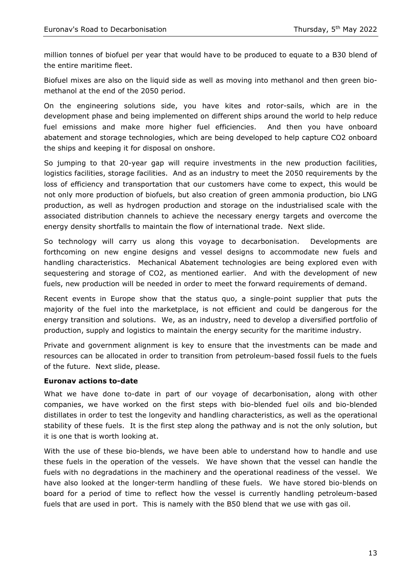million tonnes of biofuel per year that would have to be produced to equate to a B30 blend of the entire maritime fleet.

Biofuel mixes are also on the liquid side as well as moving into methanol and then green biomethanol at the end of the 2050 period.

On the engineering solutions side, you have kites and rotor-sails, which are in the development phase and being implemented on different ships around the world to help reduce fuel emissions and make more higher fuel efficiencies. And then you have onboard abatement and storage technologies, which are being developed to help capture CO2 onboard the ships and keeping it for disposal on onshore.

So jumping to that 20-year gap will require investments in the new production facilities, logistics facilities, storage facilities. And as an industry to meet the 2050 requirements by the loss of efficiency and transportation that our customers have come to expect, this would be not only more production of biofuels, but also creation of green ammonia production, bio LNG production, as well as hydrogen production and storage on the industrialised scale with the associated distribution channels to achieve the necessary energy targets and overcome the energy density shortfalls to maintain the flow of international trade. Next slide.

So technology will carry us along this voyage to decarbonisation. Developments are forthcoming on new engine designs and vessel designs to accommodate new fuels and handling characteristics. Mechanical Abatement technologies are being explored even with sequestering and storage of CO2, as mentioned earlier. And with the development of new fuels, new production will be needed in order to meet the forward requirements of demand.

Recent events in Europe show that the status quo, a single-point supplier that puts the majority of the fuel into the marketplace, is not efficient and could be dangerous for the energy transition and solutions. We, as an industry, need to develop a diversified portfolio of production, supply and logistics to maintain the energy security for the maritime industry.

Private and government alignment is key to ensure that the investments can be made and resources can be allocated in order to transition from petroleum-based fossil fuels to the fuels of the future. Next slide, please.

# **Euronav actions to-date**

What we have done to-date in part of our voyage of decarbonisation, along with other companies, we have worked on the first steps with bio-blended fuel oils and bio-blended distillates in order to test the longevity and handling characteristics, as well as the operational stability of these fuels. It is the first step along the pathway and is not the only solution, but it is one that is worth looking at.

With the use of these bio-blends, we have been able to understand how to handle and use these fuels in the operation of the vessels. We have shown that the vessel can handle the fuels with no degradations in the machinery and the operational readiness of the vessel. We have also looked at the longer-term handling of these fuels. We have stored bio-blends on board for a period of time to reflect how the vessel is currently handling petroleum-based fuels that are used in port. This is namely with the B50 blend that we use with gas oil.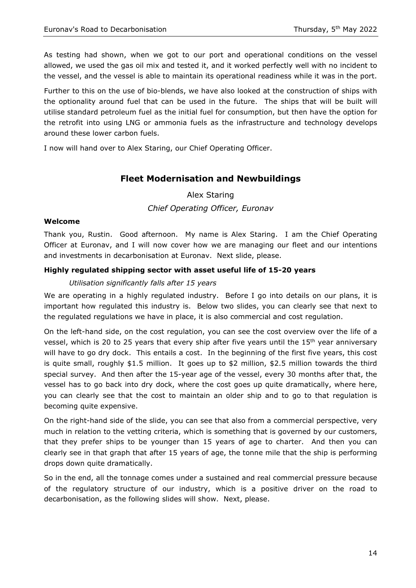As testing had shown, when we got to our port and operational conditions on the vessel allowed, we used the gas oil mix and tested it, and it worked perfectly well with no incident to the vessel, and the vessel is able to maintain its operational readiness while it was in the port.

Further to this on the use of bio-blends, we have also looked at the construction of ships with the optionality around fuel that can be used in the future. The ships that will be built will utilise standard petroleum fuel as the initial fuel for consumption, but then have the option for the retrofit into using LNG or ammonia fuels as the infrastructure and technology develops around these lower carbon fuels.

I now will hand over to Alex Staring, our Chief Operating Officer.

# **Fleet Modernisation and Newbuildings**

Alex Staring *Chief Operating Officer, Euronav*

#### **Welcome**

Thank you, Rustin. Good afternoon. My name is Alex Staring. I am the Chief Operating Officer at Euronav, and I will now cover how we are managing our fleet and our intentions and investments in decarbonisation at Euronav. Next slide, please.

# **Highly regulated shipping sector with asset useful life of 15-20 years**

#### *Utilisation significantly falls after 15 years*

We are operating in a highly regulated industry. Before I go into details on our plans, it is important how regulated this industry is. Below two slides, you can clearly see that next to the regulated regulations we have in place, it is also commercial and cost regulation.

On the left-hand side, on the cost regulation, you can see the cost overview over the life of a vessel, which is 20 to 25 years that every ship after five years until the 15<sup>th</sup> year anniversary will have to go dry dock. This entails a cost. In the beginning of the first five years, this cost is quite small, roughly \$1.5 million. It goes up to \$2 million, \$2.5 million towards the third special survey. And then after the 15-year age of the vessel, every 30 months after that, the vessel has to go back into dry dock, where the cost goes up quite dramatically, where here, you can clearly see that the cost to maintain an older ship and to go to that regulation is becoming quite expensive.

On the right-hand side of the slide, you can see that also from a commercial perspective, very much in relation to the vetting criteria, which is something that is governed by our customers, that they prefer ships to be younger than 15 years of age to charter. And then you can clearly see in that graph that after 15 years of age, the tonne mile that the ship is performing drops down quite dramatically.

So in the end, all the tonnage comes under a sustained and real commercial pressure because of the regulatory structure of our industry, which is a positive driver on the road to decarbonisation, as the following slides will show. Next, please.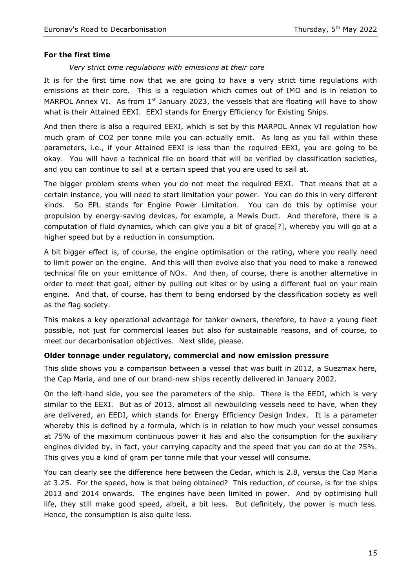#### **For the first time**

#### *Very strict time regulations with emissions at their core*

It is for the first time now that we are going to have a very strict time regulations with emissions at their core. This is a regulation which comes out of IMO and is in relation to MARPOL Annex VI. As from  $1<sup>st</sup>$  January 2023, the vessels that are floating will have to show what is their Attained EEXI. EEXI stands for Energy Efficiency for Existing Ships.

And then there is also a required EEXI, which is set by this MARPOL Annex VI regulation how much gram of CO2 per tonne mile you can actually emit. As long as you fall within these parameters, i.e., if your Attained EEXI is less than the required EEXI, you are going to be okay. You will have a technical file on board that will be verified by classification societies, and you can continue to sail at a certain speed that you are used to sail at.

The bigger problem stems when you do not meet the required EEXI. That means that at a certain instance, you will need to start limitation your power. You can do this in very different kinds. So EPL stands for Engine Power Limitation. You can do this by optimise your propulsion by energy-saving devices, for example, a Mewis Duct. And therefore, there is a computation of fluid dynamics, which can give you a bit of grace[?], whereby you will go at a higher speed but by a reduction in consumption.

A bit bigger effect is, of course, the engine optimisation or the rating, where you really need to limit power on the engine. And this will then evolve also that you need to make a renewed technical file on your emittance of NOx. And then, of course, there is another alternative in order to meet that goal, either by pulling out kites or by using a different fuel on your main engine. And that, of course, has them to being endorsed by the classification society as well as the flag society.

This makes a key operational advantage for tanker owners, therefore, to have a young fleet possible, not just for commercial leases but also for sustainable reasons, and of course, to meet our decarbonisation objectives. Next slide, please.

#### **Older tonnage under regulatory, commercial and now emission pressure**

This slide shows you a comparison between a vessel that was built in 2012, a Suezmax here, the Cap Maria, and one of our brand-new ships recently delivered in January 2002.

On the left-hand side, you see the parameters of the ship. There is the EEDI, which is very similar to the EEXI. But as of 2013, almost all newbuilding vessels need to have, when they are delivered, an EEDI, which stands for Energy Efficiency Design Index. It is a parameter whereby this is defined by a formula, which is in relation to how much your vessel consumes at 75% of the maximum continuous power it has and also the consumption for the auxiliary engines divided by, in fact, your carrying capacity and the speed that you can do at the 75%. This gives you a kind of gram per tonne mile that your vessel will consume.

You can clearly see the difference here between the Cedar, which is 2.8, versus the Cap Maria at 3.25. For the speed, how is that being obtained? This reduction, of course, is for the ships 2013 and 2014 onwards. The engines have been limited in power. And by optimising hull life, they still make good speed, albeit, a bit less. But definitely, the power is much less. Hence, the consumption is also quite less.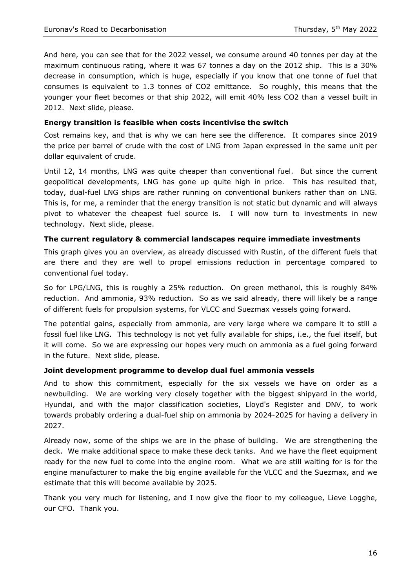And here, you can see that for the 2022 vessel, we consume around 40 tonnes per day at the maximum continuous rating, where it was 67 tonnes a day on the 2012 ship. This is a 30% decrease in consumption, which is huge, especially if you know that one tonne of fuel that consumes is equivalent to 1.3 tonnes of CO2 emittance. So roughly, this means that the younger your fleet becomes or that ship 2022, will emit 40% less CO2 than a vessel built in 2012. Next slide, please.

#### **Energy transition is feasible when costs incentivise the switch**

Cost remains key, and that is why we can here see the difference. It compares since 2019 the price per barrel of crude with the cost of LNG from Japan expressed in the same unit per dollar equivalent of crude.

Until 12, 14 months, LNG was quite cheaper than conventional fuel. But since the current geopolitical developments, LNG has gone up quite high in price. This has resulted that, today, dual-fuel LNG ships are rather running on conventional bunkers rather than on LNG. This is, for me, a reminder that the energy transition is not static but dynamic and will always pivot to whatever the cheapest fuel source is. I will now turn to investments in new technology. Next slide, please.

#### **The current regulatory & commercial landscapes require immediate investments**

This graph gives you an overview, as already discussed with Rustin, of the different fuels that are there and they are well to propel emissions reduction in percentage compared to conventional fuel today.

So for LPG/LNG, this is roughly a 25% reduction. On green methanol, this is roughly 84% reduction. And ammonia, 93% reduction. So as we said already, there will likely be a range of different fuels for propulsion systems, for VLCC and Suezmax vessels going forward.

The potential gains, especially from ammonia, are very large where we compare it to still a fossil fuel like LNG. This technology is not yet fully available for ships, i.e., the fuel itself, but it will come. So we are expressing our hopes very much on ammonia as a fuel going forward in the future. Next slide, please.

#### **Joint development programme to develop dual fuel ammonia vessels**

And to show this commitment, especially for the six vessels we have on order as a newbuilding. We are working very closely together with the biggest shipyard in the world, Hyundai, and with the major classification societies, Lloyd's Register and DNV, to work towards probably ordering a dual-fuel ship on ammonia by 2024-2025 for having a delivery in 2027.

Already now, some of the ships we are in the phase of building. We are strengthening the deck. We make additional space to make these deck tanks. And we have the fleet equipment ready for the new fuel to come into the engine room. What we are still waiting for is for the engine manufacturer to make the big engine available for the VLCC and the Suezmax, and we estimate that this will become available by 2025.

Thank you very much for listening, and I now give the floor to my colleague, Lieve Logghe, our CFO. Thank you.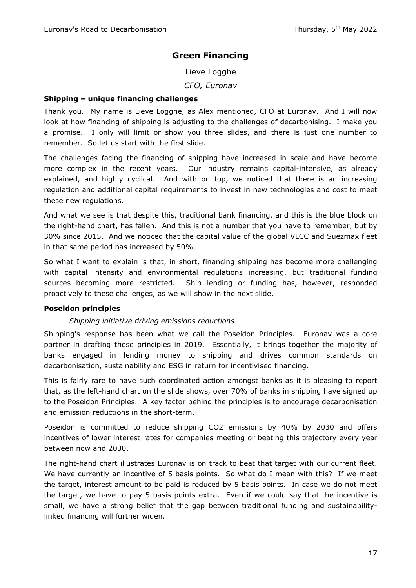# **Green Financing**

Lieve Logghe

# *CFO, Euronav*

#### **Shipping – unique financing challenges**

Thank you. My name is Lieve Logghe, as Alex mentioned, CFO at Euronav. And I will now look at how financing of shipping is adjusting to the challenges of decarbonising. I make you a promise. I only will limit or show you three slides, and there is just one number to remember. So let us start with the first slide.

The challenges facing the financing of shipping have increased in scale and have become more complex in the recent years. Our industry remains capital-intensive, as already explained, and highly cyclical. And with on top, we noticed that there is an increasing regulation and additional capital requirements to invest in new technologies and cost to meet these new regulations.

And what we see is that despite this, traditional bank financing, and this is the blue block on the right-hand chart, has fallen. And this is not a number that you have to remember, but by 30% since 2015. And we noticed that the capital value of the global VLCC and Suezmax fleet in that same period has increased by 50%.

So what I want to explain is that, in short, financing shipping has become more challenging with capital intensity and environmental regulations increasing, but traditional funding sources becoming more restricted. Ship lending or funding has, however, responded proactively to these challenges, as we will show in the next slide.

#### **Poseidon principles**

# *Shipping initiative driving emissions reductions*

Shipping's response has been what we call the Poseidon Principles. Euronav was a core partner in drafting these principles in 2019. Essentially, it brings together the majority of banks engaged in lending money to shipping and drives common standards on decarbonisation, sustainability and ESG in return for incentivised financing.

This is fairly rare to have such coordinated action amongst banks as it is pleasing to report that, as the left-hand chart on the slide shows, over 70% of banks in shipping have signed up to the Poseidon Principles. A key factor behind the principles is to encourage decarbonisation and emission reductions in the short-term.

Poseidon is committed to reduce shipping CO2 emissions by 40% by 2030 and offers incentives of lower interest rates for companies meeting or beating this trajectory every year between now and 2030.

The right-hand chart illustrates Euronav is on track to beat that target with our current fleet. We have currently an incentive of 5 basis points. So what do I mean with this? If we meet the target, interest amount to be paid is reduced by 5 basis points. In case we do not meet the target, we have to pay 5 basis points extra. Even if we could say that the incentive is small, we have a strong belief that the gap between traditional funding and sustainabilitylinked financing will further widen.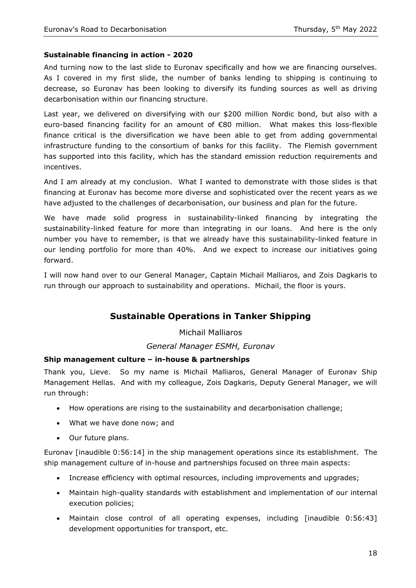# **Sustainable financing in action - 2020**

And turning now to the last slide to Euronav specifically and how we are financing ourselves. As I covered in my first slide, the number of banks lending to shipping is continuing to decrease, so Euronav has been looking to diversify its funding sources as well as driving decarbonisation within our financing structure.

Last year, we delivered on diversifying with our \$200 million Nordic bond, but also with a euro-based financing facility for an amount of €80 million. What makes this loss-flexible finance critical is the diversification we have been able to get from adding governmental infrastructure funding to the consortium of banks for this facility. The Flemish government has supported into this facility, which has the standard emission reduction requirements and incentives.

And I am already at my conclusion. What I wanted to demonstrate with those slides is that financing at Euronav has become more diverse and sophisticated over the recent years as we have adjusted to the challenges of decarbonisation, our business and plan for the future.

We have made solid progress in sustainability-linked financing by integrating the sustainability-linked feature for more than integrating in our loans. And here is the only number you have to remember, is that we already have this sustainability-linked feature in our lending portfolio for more than 40%. And we expect to increase our initiatives going forward.

I will now hand over to our General Manager, Captain Michail Malliaros, and Zois Dagkaris to run through our approach to sustainability and operations. Michail, the floor is yours.

# **Sustainable Operations in Tanker Shipping**

Michail Malliaros

# *General Manager ESMH, Euronav*

# **Ship management culture – in-house & partnerships**

Thank you, Lieve. So my name is Michail Malliaros, General Manager of Euronav Ship Management Hellas. And with my colleague, Zois Dagkaris, Deputy General Manager, we will run through:

- How operations are rising to the sustainability and decarbonisation challenge;
- What we have done now; and
- Our future plans.

Euronav [inaudible 0:56:14] in the ship management operations since its establishment. The ship management culture of in-house and partnerships focused on three main aspects:

- Increase efficiency with optimal resources, including improvements and upgrades;
- Maintain high-quality standards with establishment and implementation of our internal execution policies;
- Maintain close control of all operating expenses, including [inaudible 0:56:43] development opportunities for transport, etc.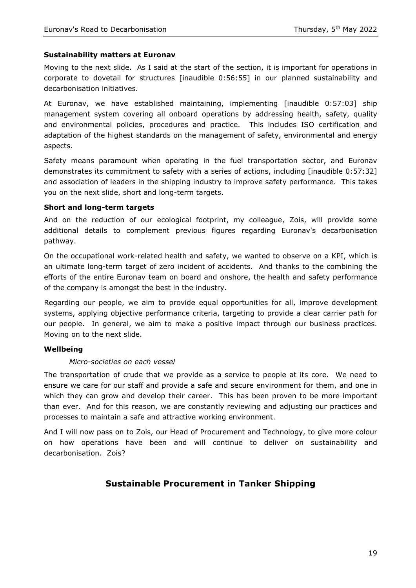# **Sustainability matters at Euronav**

Moving to the next slide. As I said at the start of the section, it is important for operations in corporate to dovetail for structures [inaudible 0:56:55] in our planned sustainability and decarbonisation initiatives.

At Euronav, we have established maintaining, implementing [inaudible 0:57:03] ship management system covering all onboard operations by addressing health, safety, quality and environmental policies, procedures and practice. This includes ISO certification and adaptation of the highest standards on the management of safety, environmental and energy aspects.

Safety means paramount when operating in the fuel transportation sector, and Euronav demonstrates its commitment to safety with a series of actions, including [inaudible 0:57:32] and association of leaders in the shipping industry to improve safety performance. This takes you on the next slide, short and long-term targets.

#### **Short and long-term targets**

And on the reduction of our ecological footprint, my colleague, Zois, will provide some additional details to complement previous figures regarding Euronav's decarbonisation pathway.

On the occupational work-related health and safety, we wanted to observe on a KPI, which is an ultimate long-term target of zero incident of accidents. And thanks to the combining the efforts of the entire Euronav team on board and onshore, the health and safety performance of the company is amongst the best in the industry.

Regarding our people, we aim to provide equal opportunities for all, improve development systems, applying objective performance criteria, targeting to provide a clear carrier path for our people. In general, we aim to make a positive impact through our business practices. Moving on to the next slide.

# **Wellbeing**

#### *Micro-societies on each vessel*

The transportation of crude that we provide as a service to people at its core. We need to ensure we care for our staff and provide a safe and secure environment for them, and one in which they can grow and develop their career. This has been proven to be more important than ever. And for this reason, we are constantly reviewing and adjusting our practices and processes to maintain a safe and attractive working environment.

And I will now pass on to Zois, our Head of Procurement and Technology, to give more colour on how operations have been and will continue to deliver on sustainability and decarbonisation. Zois?

# **Sustainable Procurement in Tanker Shipping**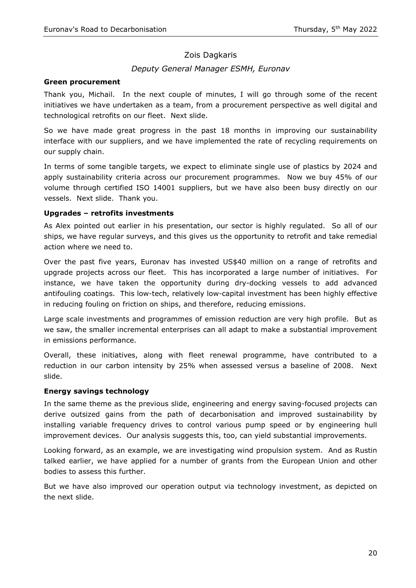# Zois Dagkaris

# *Deputy General Manager ESMH, Euronav*

#### **Green procurement**

Thank you, Michail. In the next couple of minutes, I will go through some of the recent initiatives we have undertaken as a team, from a procurement perspective as well digital and technological retrofits on our fleet. Next slide.

So we have made great progress in the past 18 months in improving our sustainability interface with our suppliers, and we have implemented the rate of recycling requirements on our supply chain.

In terms of some tangible targets, we expect to eliminate single use of plastics by 2024 and apply sustainability criteria across our procurement programmes. Now we buy 45% of our volume through certified ISO 14001 suppliers, but we have also been busy directly on our vessels. Next slide. Thank you.

# **Upgrades – retrofits investments**

As Alex pointed out earlier in his presentation, our sector is highly regulated. So all of our ships, we have regular surveys, and this gives us the opportunity to retrofit and take remedial action where we need to.

Over the past five years, Euronav has invested US\$40 million on a range of retrofits and upgrade projects across our fleet. This has incorporated a large number of initiatives. For instance, we have taken the opportunity during dry-docking vessels to add advanced antifouling coatings. This low-tech, relatively low-capital investment has been highly effective in reducing fouling on friction on ships, and therefore, reducing emissions.

Large scale investments and programmes of emission reduction are very high profile. But as we saw, the smaller incremental enterprises can all adapt to make a substantial improvement in emissions performance.

Overall, these initiatives, along with fleet renewal programme, have contributed to a reduction in our carbon intensity by 25% when assessed versus a baseline of 2008. Next slide.

# **Energy savings technology**

In the same theme as the previous slide, engineering and energy saving-focused projects can derive outsized gains from the path of decarbonisation and improved sustainability by installing variable frequency drives to control various pump speed or by engineering hull improvement devices. Our analysis suggests this, too, can yield substantial improvements.

Looking forward, as an example, we are investigating wind propulsion system. And as Rustin talked earlier, we have applied for a number of grants from the European Union and other bodies to assess this further.

But we have also improved our operation output via technology investment, as depicted on the next slide.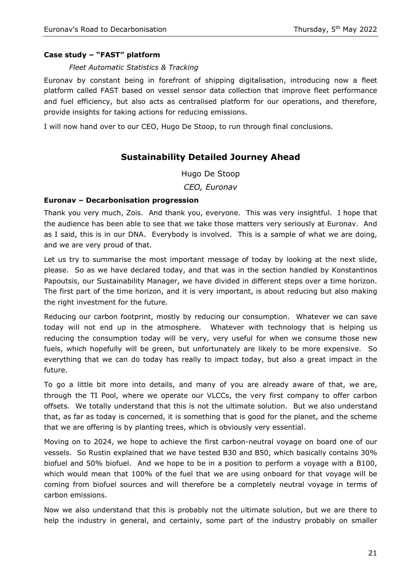# **Case study – "FAST" platform**

# *Fleet Automatic Statistics & Tracking*

Euronav by constant being in forefront of shipping digitalisation, introducing now a fleet platform called FAST based on vessel sensor data collection that improve fleet performance and fuel efficiency, but also acts as centralised platform for our operations, and therefore, provide insights for taking actions for reducing emissions.

I will now hand over to our CEO, Hugo De Stoop, to run through final conclusions.

# **Sustainability Detailed Journey Ahead**

Hugo De Stoop

*CEO, Euronav*

# **Euronav – Decarbonisation progression**

Thank you very much, Zois. And thank you, everyone. This was very insightful. I hope that the audience has been able to see that we take those matters very seriously at Euronav. And as I said, this is in our DNA. Everybody is involved. This is a sample of what we are doing, and we are very proud of that.

Let us try to summarise the most important message of today by looking at the next slide, please. So as we have declared today, and that was in the section handled by Konstantinos Papoutsis, our Sustainability Manager, we have divided in different steps over a time horizon. The first part of the time horizon, and it is very important, is about reducing but also making the right investment for the future.

Reducing our carbon footprint, mostly by reducing our consumption. Whatever we can save today will not end up in the atmosphere. Whatever with technology that is helping us reducing the consumption today will be very, very useful for when we consume those new fuels, which hopefully will be green, but unfortunately are likely to be more expensive. So everything that we can do today has really to impact today, but also a great impact in the future.

To go a little bit more into details, and many of you are already aware of that, we are, through the TI Pool, where we operate our VLCCs, the very first company to offer carbon offsets. We totally understand that this is not the ultimate solution. But we also understand that, as far as today is concerned, it is something that is good for the planet, and the scheme that we are offering is by planting trees, which is obviously very essential.

Moving on to 2024, we hope to achieve the first carbon-neutral voyage on board one of our vessels. So Rustin explained that we have tested B30 and B50, which basically contains 30% biofuel and 50% biofuel. And we hope to be in a position to perform a voyage with a B100, which would mean that 100% of the fuel that we are using onboard for that voyage will be coming from biofuel sources and will therefore be a completely neutral voyage in terms of carbon emissions.

Now we also understand that this is probably not the ultimate solution, but we are there to help the industry in general, and certainly, some part of the industry probably on smaller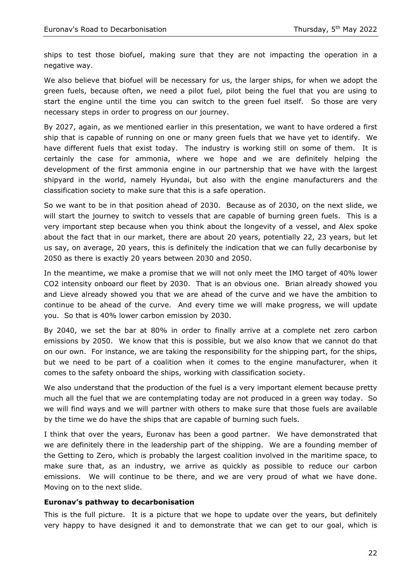ships to test those biofuel, making sure that they are not impacting the operation in a negative way.

We also believe that biofuel will be necessary for us, the larger ships, for when we adopt the green fuels, because often, we need a pilot fuel, pilot being the fuel that you are using to start the engine until the time you can switch to the green fuel itself. So those are very necessary steps in order to progress on our journey.

By 2027, again, as we mentioned earlier in this presentation, we want to have ordered a first ship that is capable of running on one or many green fuels that we have yet to identify. We have different fuels that exist today. The industry is working still on some of them. It is certainly the case for ammonia, where we hope and we are definitely helping the development of the first ammonia engine in our partnership that we have with the largest shipyard in the world, namely Hyundai, but also with the engine manufacturers and the classification society to make sure that this is a safe operation.

So we want to be in that position ahead of 2030. Because as of 2030, on the next slide, we will start the journey to switch to vessels that are capable of burning green fuels. This is a very important step because when you think about the longevity of a vessel, and Alex spoke about the fact that in our market, there are about 20 years, potentially 22, 23 years, but let us say, on average, 20 years, this is definitely the indication that we can fully decarbonise by 2050 as there is exactly 20 years between 2030 and 2050.

In the meantime, we make a promise that we will not only meet the IMO target of 40% lower CO2 intensity onboard our fleet by 2030. That is an obvious one. Brian already showed you and Lieve already showed you that we are ahead of the curve and we have the ambition to continue to be ahead of the curve. And every time we will make progress, we will update you. So that is 40% lower carbon emission by 2030.

By 2040, we set the bar at 80% in order to finally arrive at a complete net zero carbon emissions by 2050. We know that this is possible, but we also know that we cannot do that on our own. For instance, we are taking the responsibility for the shipping part, for the ships, but we need to be part of a coalition when it comes to the engine manufacturer, when it comes to the safety onboard the ships, working with classification society.

We also understand that the production of the fuel is a very important element because pretty much all the fuel that we are contemplating today are not produced in a green way today. So we will find ways and we will partner with others to make sure that those fuels are available by the time we do have the ships that are capable of burning such fuels.

I think that over the years, Euronav has been a good partner. We have demonstrated that we are definitely there in the leadership part of the shipping. We are a founding member of the Getting to Zero, which is probably the largest coalition involved in the maritime space, to make sure that, as an industry, we arrive as quickly as possible to reduce our carbon emissions. We will continue to be there, and we are very proud of what we have done. Moving on to the next slide.

#### **Euronav's pathway to decarbonisation**

This is the full picture. It is a picture that we hope to update over the years, but definitely very happy to have designed it and to demonstrate that we can get to our goal, which is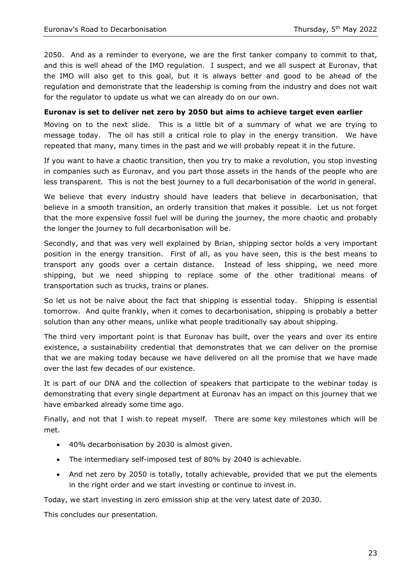2050. And as a reminder to everyone, we are the first tanker company to commit to that, and this is well ahead of the IMO regulation. I suspect, and we all suspect at Euronav, that the IMO will also get to this goal, but it is always better and good to be ahead of the regulation and demonstrate that the leadership is coming from the industry and does not wait for the regulator to update us what we can already do on our own.

#### **Euronav is set to deliver net zero by 2050 but aims to achieve target even earlier**

Moving on to the next slide. This is a little bit of a summary of what we are trying to message today. The oil has still a critical role to play in the energy transition. We have repeated that many, many times in the past and we will probably repeat it in the future.

If you want to have a chaotic transition, then you try to make a revolution, you stop investing in companies such as Euronav, and you part those assets in the hands of the people who are less transparent. This is not the best journey to a full decarbonisation of the world in general.

We believe that every industry should have leaders that believe in decarbonisation, that believe in a smooth transition, an orderly transition that makes it possible. Let us not forget that the more expensive fossil fuel will be during the journey, the more chaotic and probably the longer the journey to full decarbonisation will be.

Secondly, and that was very well explained by Brian, shipping sector holds a very important position in the energy transition. First of all, as you have seen, this is the best means to transport any goods over a certain distance. Instead of less shipping, we need more shipping, but we need shipping to replace some of the other traditional means of transportation such as trucks, trains or planes.

So let us not be naïve about the fact that shipping is essential today. Shipping is essential tomorrow. And quite frankly, when it comes to decarbonisation, shipping is probably a better solution than any other means, unlike what people traditionally say about shipping.

The third very important point is that Euronav has built, over the years and over its entire existence, a sustainability credential that demonstrates that we can deliver on the promise that we are making today because we have delivered on all the promise that we have made over the last few decades of our existence.

It is part of our DNA and the collection of speakers that participate to the webinar today is demonstrating that every single department at Euronav has an impact on this journey that we have embarked already some time ago.

Finally, and not that I wish to repeat myself. There are some key milestones which will be met.

- 40% decarbonisation by 2030 is almost given.
- The intermediary self-imposed test of 80% by 2040 is achievable.
- And net zero by 2050 is totally, totally achievable, provided that we put the elements in the right order and we start investing or continue to invest in.

Today, we start investing in zero emission ship at the very latest date of 2030.

This concludes our presentation.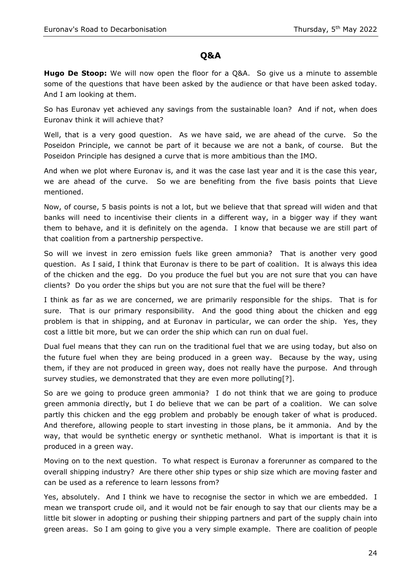# **Q&A**

**Hugo De Stoop:** We will now open the floor for a Q&A. So give us a minute to assemble some of the questions that have been asked by the audience or that have been asked today. And I am looking at them.

So has Euronav yet achieved any savings from the sustainable loan? And if not, when does Euronav think it will achieve that?

Well, that is a very good question. As we have said, we are ahead of the curve. So the Poseidon Principle, we cannot be part of it because we are not a bank, of course. But the Poseidon Principle has designed a curve that is more ambitious than the IMO.

And when we plot where Euronav is, and it was the case last year and it is the case this year, we are ahead of the curve. So we are benefiting from the five basis points that Lieve mentioned.

Now, of course, 5 basis points is not a lot, but we believe that that spread will widen and that banks will need to incentivise their clients in a different way, in a bigger way if they want them to behave, and it is definitely on the agenda. I know that because we are still part of that coalition from a partnership perspective.

So will we invest in zero emission fuels like green ammonia? That is another very good question. As I said, I think that Euronav is there to be part of coalition. It is always this idea of the chicken and the egg. Do you produce the fuel but you are not sure that you can have clients? Do you order the ships but you are not sure that the fuel will be there?

I think as far as we are concerned, we are primarily responsible for the ships. That is for sure. That is our primary responsibility. And the good thing about the chicken and egg problem is that in shipping, and at Euronav in particular, we can order the ship. Yes, they cost a little bit more, but we can order the ship which can run on dual fuel.

Dual fuel means that they can run on the traditional fuel that we are using today, but also on the future fuel when they are being produced in a green way. Because by the way, using them, if they are not produced in green way, does not really have the purpose. And through survey studies, we demonstrated that they are even more polluting[?].

So are we going to produce green ammonia? I do not think that we are going to produce green ammonia directly, but I do believe that we can be part of a coalition. We can solve partly this chicken and the egg problem and probably be enough taker of what is produced. And therefore, allowing people to start investing in those plans, be it ammonia. And by the way, that would be synthetic energy or synthetic methanol. What is important is that it is produced in a green way.

Moving on to the next question. To what respect is Euronav a forerunner as compared to the overall shipping industry? Are there other ship types or ship size which are moving faster and can be used as a reference to learn lessons from?

Yes, absolutely. And I think we have to recognise the sector in which we are embedded. I mean we transport crude oil, and it would not be fair enough to say that our clients may be a little bit slower in adopting or pushing their shipping partners and part of the supply chain into green areas. So I am going to give you a very simple example. There are coalition of people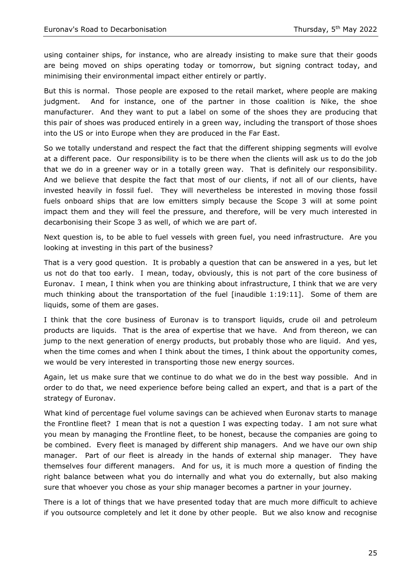using container ships, for instance, who are already insisting to make sure that their goods are being moved on ships operating today or tomorrow, but signing contract today, and minimising their environmental impact either entirely or partly.

But this is normal. Those people are exposed to the retail market, where people are making judgment. And for instance, one of the partner in those coalition is Nike, the shoe manufacturer. And they want to put a label on some of the shoes they are producing that this pair of shoes was produced entirely in a green way, including the transport of those shoes into the US or into Europe when they are produced in the Far East.

So we totally understand and respect the fact that the different shipping segments will evolve at a different pace. Our responsibility is to be there when the clients will ask us to do the job that we do in a greener way or in a totally green way. That is definitely our responsibility. And we believe that despite the fact that most of our clients, if not all of our clients, have invested heavily in fossil fuel. They will nevertheless be interested in moving those fossil fuels onboard ships that are low emitters simply because the Scope 3 will at some point impact them and they will feel the pressure, and therefore, will be very much interested in decarbonising their Scope 3 as well, of which we are part of.

Next question is, to be able to fuel vessels with green fuel, you need infrastructure. Are you looking at investing in this part of the business?

That is a very good question. It is probably a question that can be answered in a yes, but let us not do that too early. I mean, today, obviously, this is not part of the core business of Euronav. I mean, I think when you are thinking about infrastructure, I think that we are very much thinking about the transportation of the fuel [inaudible 1:19:11]. Some of them are liquids, some of them are gases.

I think that the core business of Euronav is to transport liquids, crude oil and petroleum products are liquids. That is the area of expertise that we have. And from thereon, we can jump to the next generation of energy products, but probably those who are liquid. And yes, when the time comes and when I think about the times, I think about the opportunity comes, we would be very interested in transporting those new energy sources.

Again, let us make sure that we continue to do what we do in the best way possible. And in order to do that, we need experience before being called an expert, and that is a part of the strategy of Euronav.

What kind of percentage fuel volume savings can be achieved when Euronav starts to manage the Frontline fleet? I mean that is not a question I was expecting today. I am not sure what you mean by managing the Frontline fleet, to be honest, because the companies are going to be combined. Every fleet is managed by different ship managers. And we have our own ship manager. Part of our fleet is already in the hands of external ship manager. They have themselves four different managers. And for us, it is much more a question of finding the right balance between what you do internally and what you do externally, but also making sure that whoever you chose as your ship manager becomes a partner in your journey.

There is a lot of things that we have presented today that are much more difficult to achieve if you outsource completely and let it done by other people. But we also know and recognise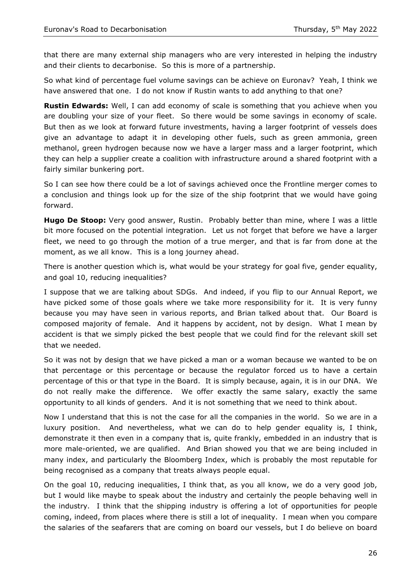that there are many external ship managers who are very interested in helping the industry and their clients to decarbonise. So this is more of a partnership.

So what kind of percentage fuel volume savings can be achieve on Euronav? Yeah, I think we have answered that one. I do not know if Rustin wants to add anything to that one?

**Rustin Edwards:** Well, I can add economy of scale is something that you achieve when you are doubling your size of your fleet. So there would be some savings in economy of scale. But then as we look at forward future investments, having a larger footprint of vessels does give an advantage to adapt it in developing other fuels, such as green ammonia, green methanol, green hydrogen because now we have a larger mass and a larger footprint, which they can help a supplier create a coalition with infrastructure around a shared footprint with a fairly similar bunkering port.

So I can see how there could be a lot of savings achieved once the Frontline merger comes to a conclusion and things look up for the size of the ship footprint that we would have going forward.

**Hugo De Stoop:** Very good answer, Rustin. Probably better than mine, where I was a little bit more focused on the potential integration. Let us not forget that before we have a larger fleet, we need to go through the motion of a true merger, and that is far from done at the moment, as we all know. This is a long journey ahead.

There is another question which is, what would be your strategy for goal five, gender equality, and goal 10, reducing inequalities?

I suppose that we are talking about SDGs. And indeed, if you flip to our Annual Report, we have picked some of those goals where we take more responsibility for it. It is very funny because you may have seen in various reports, and Brian talked about that. Our Board is composed majority of female. And it happens by accident, not by design. What I mean by accident is that we simply picked the best people that we could find for the relevant skill set that we needed.

So it was not by design that we have picked a man or a woman because we wanted to be on that percentage or this percentage or because the regulator forced us to have a certain percentage of this or that type in the Board. It is simply because, again, it is in our DNA. We do not really make the difference. We offer exactly the same salary, exactly the same opportunity to all kinds of genders. And it is not something that we need to think about.

Now I understand that this is not the case for all the companies in the world. So we are in a luxury position. And nevertheless, what we can do to help gender equality is, I think, demonstrate it then even in a company that is, quite frankly, embedded in an industry that is more male-oriented, we are qualified. And Brian showed you that we are being included in many index, and particularly the Bloomberg Index, which is probably the most reputable for being recognised as a company that treats always people equal.

On the goal 10, reducing inequalities, I think that, as you all know, we do a very good job, but I would like maybe to speak about the industry and certainly the people behaving well in the industry. I think that the shipping industry is offering a lot of opportunities for people coming, indeed, from places where there is still a lot of inequality. I mean when you compare the salaries of the seafarers that are coming on board our vessels, but I do believe on board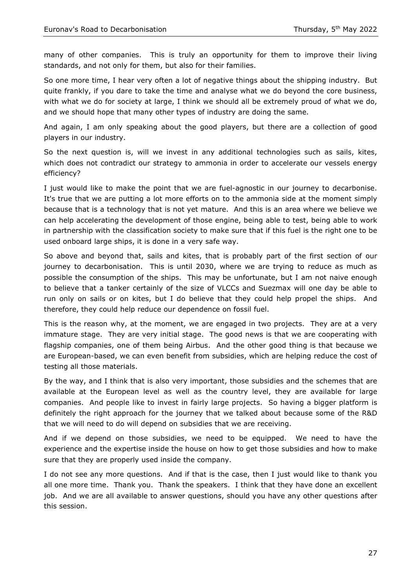many of other companies. This is truly an opportunity for them to improve their living standards, and not only for them, but also for their families.

So one more time, I hear very often a lot of negative things about the shipping industry. But quite frankly, if you dare to take the time and analyse what we do beyond the core business, with what we do for society at large, I think we should all be extremely proud of what we do, and we should hope that many other types of industry are doing the same.

And again, I am only speaking about the good players, but there are a collection of good players in our industry.

So the next question is, will we invest in any additional technologies such as sails, kites, which does not contradict our strategy to ammonia in order to accelerate our vessels energy efficiency?

I just would like to make the point that we are fuel-agnostic in our journey to decarbonise. It's true that we are putting a lot more efforts on to the ammonia side at the moment simply because that is a technology that is not yet mature. And this is an area where we believe we can help accelerating the development of those engine, being able to test, being able to work in partnership with the classification society to make sure that if this fuel is the right one to be used onboard large ships, it is done in a very safe way.

So above and beyond that, sails and kites, that is probably part of the first section of our journey to decarbonisation. This is until 2030, where we are trying to reduce as much as possible the consumption of the ships. This may be unfortunate, but I am not naive enough to believe that a tanker certainly of the size of VLCCs and Suezmax will one day be able to run only on sails or on kites, but I do believe that they could help propel the ships. And therefore, they could help reduce our dependence on fossil fuel.

This is the reason why, at the moment, we are engaged in two projects. They are at a very immature stage. They are very initial stage. The good news is that we are cooperating with flagship companies, one of them being Airbus. And the other good thing is that because we are European-based, we can even benefit from subsidies, which are helping reduce the cost of testing all those materials.

By the way, and I think that is also very important, those subsidies and the schemes that are available at the European level as well as the country level, they are available for large companies. And people like to invest in fairly large projects. So having a bigger platform is definitely the right approach for the journey that we talked about because some of the R&D that we will need to do will depend on subsidies that we are receiving.

And if we depend on those subsidies, we need to be equipped. We need to have the experience and the expertise inside the house on how to get those subsidies and how to make sure that they are properly used inside the company.

I do not see any more questions. And if that is the case, then I just would like to thank you all one more time. Thank you. Thank the speakers. I think that they have done an excellent job. And we are all available to answer questions, should you have any other questions after this session.